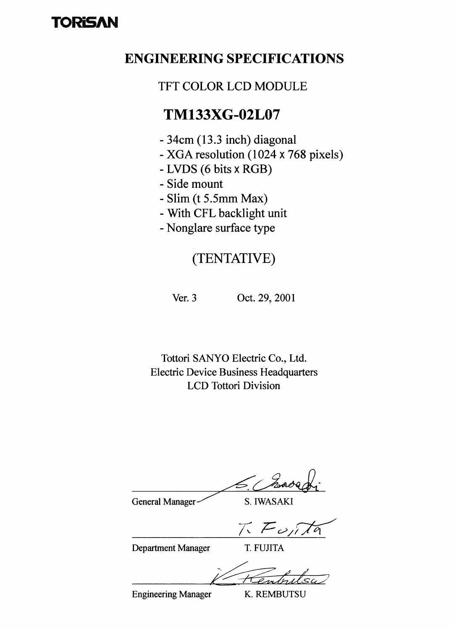# TORISAN

## **ENGINEERING SPECIFICATIONS**

## **TFT COLOR LCD MODULE**

## **TM133XG-02L07**

- 34cm (13.3 inch) diagonal
- XGA resolution (1024 x 768 pixels)
- LVDS (6 bits x RGB)
- Side mount
- Slim (t 5.5mm Max)
- With CFL backlight unit
- Nonglare surface type

## (TENTATIVE)

Ver.  $3$ 

Oct. 29, 2001

Tottori SANYO Electric Co., Ltd. **Electric Device Business Headquarters LCD** Tottori Division

General Manager

S. IWASAKI

 $\nabla$   $\overline{F}$   $\omega$ 

**Department Manager** 

T. FUJITA

**Engineering Manager** 

K. REMBUTSU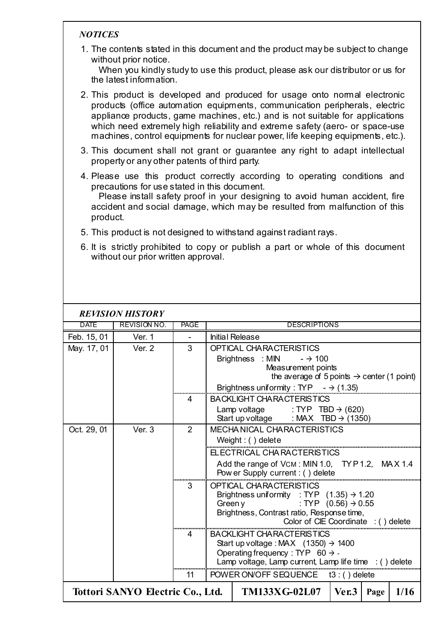## *NOTICES*

1. The contents stated in this document and the product may be subject to change without prior notice.

When you kindly study to use this product, please ask our distributor or us for the latest information.

- 2. This product is developed and produced for usage onto normal electronic products (office automation equipments, communication peripherals, electric appliance products, game machines, etc.) and is not suitable for applications which need extremely high reliability and extreme safety (aero- or space-use machines, control equipments for nuclear power, life keeping equipments, etc.).
- 3. This document shall not grant or guarantee any right to adapt intellectual property or any other patents of third party.
- 4. Please use this product correctly according to operating conditions and precautions for use stated in this document. Please install safety proof in your designing to avoid human accident, fire accident and social damage, which may be resulted from malfunction of this product.
- 5. This product is not designed to withstand against radiant rays.
- 6. It is strictly prohibited to copy or publish a part or whole of this document without our prior written approval.

|             | <b>REVISION HISTORY</b>          |             |         |                                                                                      |                                 |      |      |  |  |
|-------------|----------------------------------|-------------|---------|--------------------------------------------------------------------------------------|---------------------------------|------|------|--|--|
| <b>DATE</b> | <b>REVISION NO.</b>              | <b>PAGE</b> |         | <b>DESCRIPTIONS</b>                                                                  |                                 |      |      |  |  |
| Feb. 15, 01 | Ver. 1                           |             |         | <b>Initial Release</b>                                                               |                                 |      |      |  |  |
| May. 17, 01 | Ver. 2                           | 3           |         | <b>OPTICAL CHARACTERISTICS</b>                                                       |                                 |      |      |  |  |
|             |                                  |             |         | Brightness : MIN<br>$ \rightarrow$ 100                                               |                                 |      |      |  |  |
|             |                                  |             |         | Measurement points                                                                   |                                 |      |      |  |  |
|             |                                  |             |         | the average of 5 points $\rightarrow$ center (1 point)                               |                                 |      |      |  |  |
|             |                                  |             |         | Brightness uniformity: TYP $\rightarrow$ (1.35)                                      |                                 |      |      |  |  |
|             |                                  | 4           |         | <b>BACKLIGHT CHARACTERISTICS</b>                                                     |                                 |      |      |  |  |
|             |                                  |             |         | Lamp voltage : TYP TBD $\rightarrow$ (620)                                           |                                 |      |      |  |  |
|             |                                  |             |         | Start up voltage : MAX TBD $\rightarrow$ (1350)                                      |                                 |      |      |  |  |
| Oct. 29, 01 | Ver. 3                           | 2           |         | <b>MECHA NICAL CHARACTERISTICS</b>                                                   |                                 |      |      |  |  |
|             |                                  |             |         | Weight: $()$ delete                                                                  |                                 |      |      |  |  |
|             |                                  |             |         | ELECTRICAL CHARACTERISTICS                                                           |                                 |      |      |  |  |
|             |                                  |             |         | Add the range of VCM: MIN 1.0, TYP 1.2, MAX 1.4                                      |                                 |      |      |  |  |
|             |                                  |             |         | Pow er Supply current : () delete                                                    |                                 |      |      |  |  |
|             |                                  | 3           |         | <b>OPTICAL CHARACTERISTICS</b>                                                       |                                 |      |      |  |  |
|             |                                  |             |         | Brightness uniformity : TYP $(1.35) \rightarrow 1.20$                                |                                 |      |      |  |  |
|             |                                  |             | Green y |                                                                                      | : TYP $(0.56) \rightarrow 0.55$ |      |      |  |  |
|             |                                  |             |         | Brightness, Contrast ratio, Response time,<br>Color of CIE Coordinate : ( ) delete   |                                 |      |      |  |  |
|             |                                  |             |         |                                                                                      |                                 |      |      |  |  |
|             |                                  | 4           |         | <b>BACKLIGHT CHARACTERISTICS</b><br>Start up voltage : MAX $(1350) \rightarrow 1400$ |                                 |      |      |  |  |
|             |                                  |             |         | Operating frequency : TYP 60 $\rightarrow$ -                                         |                                 |      |      |  |  |
|             |                                  |             |         | Lamp voltage, Lamp current, Lamp life time $\therefore$ () delete                    |                                 |      |      |  |  |
|             |                                  | 11          |         | POWER ON/OFF SEQUENCE t3: () delete                                                  |                                 |      |      |  |  |
|             |                                  |             |         |                                                                                      |                                 |      |      |  |  |
|             | Tottori SANYO Electric Co., Ltd. |             |         | TM133XG-02L07                                                                        | $\sqrt{\text{Per3}}$            | Page | 1/16 |  |  |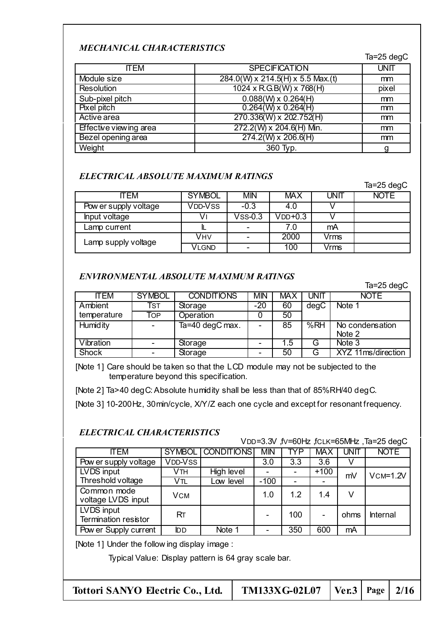## *MECHANICAL CHARACTERISTICS*

Ta=25 degC

| <b>ITEM</b>                   | <b>SPECIFICATION</b>              | <b>UNIT</b> |
|-------------------------------|-----------------------------------|-------------|
| Module size                   | 284.0(W) x 214.5(H) x 5.5 Max.(t) | mm          |
| <b>Resolution</b>             | 1024 x R.G.B(W) x 768(H)          | pixel       |
| Sub-pixel pitch               | $0.088(W) \times 0.264(H)$        | mm          |
| Pixel pitch                   | $0.264(W) \times 0.264(H)$        | mm          |
| Active area                   | 270.336(W) x 202.752(H)           | mm          |
| <b>Effective viewing area</b> | 272.2(W) x 204.6(H) Min.          | mm          |
| Bezel opening area            | $274.2(W) \times 206.6(H)$        | mm          |
| Weight                        | 360 Typ.                          | a           |

### *ELECTRICAL ABSOLUTE MAXIMUM RATINGS*

|                       |               |                          |            |      | Ta= $25$ degC |
|-----------------------|---------------|--------------------------|------------|------|---------------|
| <b>ITEM</b>           | <b>SYMBOL</b> | <b>MIN</b>               | <b>MAX</b> | UNIT | <b>NOTE</b>   |
| Pow er supply voltage | VDD-VSS       | $-0.3$                   | 4.0        |      |               |
| Input voltage         | v۱            | $V$ ss-0.3               | $V$ DD+0.3 |      |               |
| Lamp current          |               | $\overline{\phantom{a}}$ | 7.0        | mA   |               |
| Lamp supply voltage   | Vнv           |                          | 2000       | Vrms |               |
|                       | VLGND         |                          | 100        | Vrms |               |

### *ENVIRONMENTAL ABSOLUTE MAXIMUM RATINGS*

Ta=25 degC

| <b>ITEM</b>     | <b>SYMBOL</b>            | <b>CONDITIONS</b> | <b>MIN</b> | <b>MAX</b> | UNIT | <b>NOTE</b>        |
|-----------------|--------------------------|-------------------|------------|------------|------|--------------------|
| Ambient         | Tst                      | Storage           | $-20$      | 60         | degC | Note 1             |
| temperature     | Тор                      | Operation         |            | 50         |      |                    |
| <b>Humidity</b> | $\overline{\phantom{0}}$ | Ta=40 degC max.   |            | 85         | %RH  | No condensation    |
|                 |                          |                   |            |            |      | Note 2             |
| Vibration       | $\overline{\phantom{0}}$ | Storage           |            | 1.5        | G    | Note 3             |
| Shock           |                          | Storage           |            | 50         | G    | XYZ 11ms/direction |

[Note 1] Care should be taken so that the LCD module may not be subjected to the temperature beyond this specification.

[Note 2] Ta>40 degC: Absolute humidity shall be less than that of 85%RH/40 degC.

[Note 3] 10-200Hz, 30min/cycle, X/Y/Z each one cycle and except for resonant frequency.

### *ELECTRICAL CHARACTERISTICS*

VDD=3.3V ,fV=60Hz ,fCLK=65MHz ,Ta=25 degC

| <b>ITEM</b>                               |            | SYMBOL CONDITIONS | <b>MIN</b> | TYP | <b>MAX</b> | UNIT | <b>NOTE</b> |
|-------------------------------------------|------------|-------------------|------------|-----|------------|------|-------------|
| Pow er supply voltage                     | VDD-VSS    |                   | 3.0        | 3.3 | 3.6        |      |             |
| LVDS input                                | Vth        | High level        |            |     | $+100$     | mV   | $VCM=1.2V$  |
| Threshold voltage                         | Vtl        | Low level         | $-100$     |     |            |      |             |
| Common mode<br>voltage LVDS input         | <b>VCM</b> |                   | 1.0        | 1.2 | 1.4        | v    |             |
| LVDS input<br><b>Termination resistor</b> | RT.        |                   |            | 100 | -          | ohms | Internal    |
| Pow er Supply current                     | <b>IDD</b> | Note 1            |            | 350 | 600        | mA   |             |

[Note 1] Under the follow ing display image :

Typical Value: Display pattern is 64 gray scale bar.

| $TM133XG-02L07$   Ver.3   Page   2/16 | Tottori SANYO Electric Co., Ltd. |  |  |  |  |
|---------------------------------------|----------------------------------|--|--|--|--|
|---------------------------------------|----------------------------------|--|--|--|--|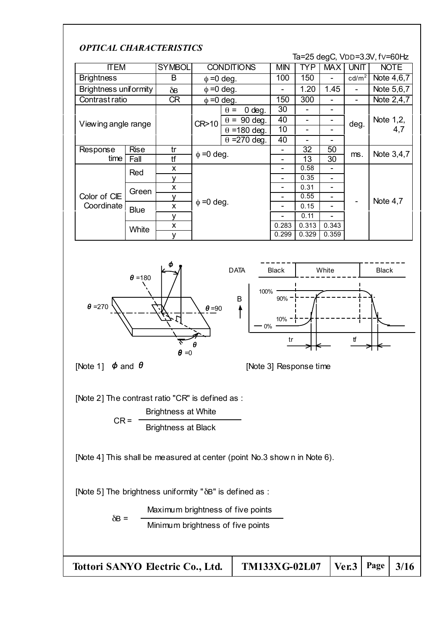## *OPTICAL CHARACTERISTICS*

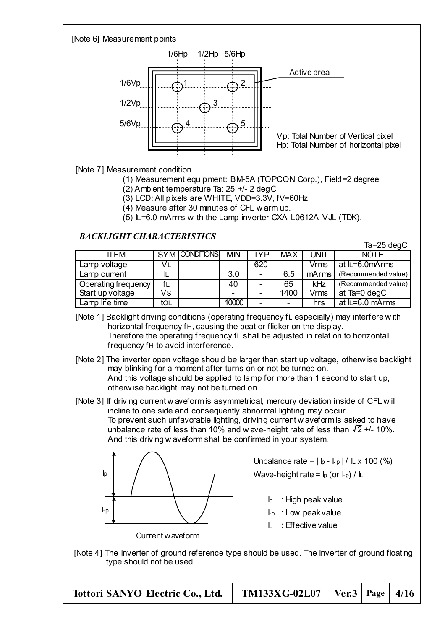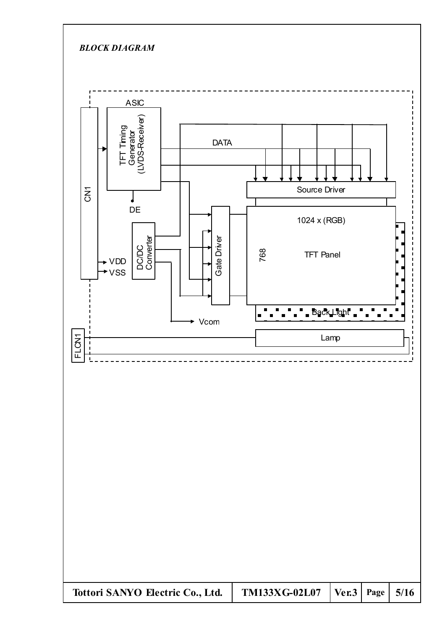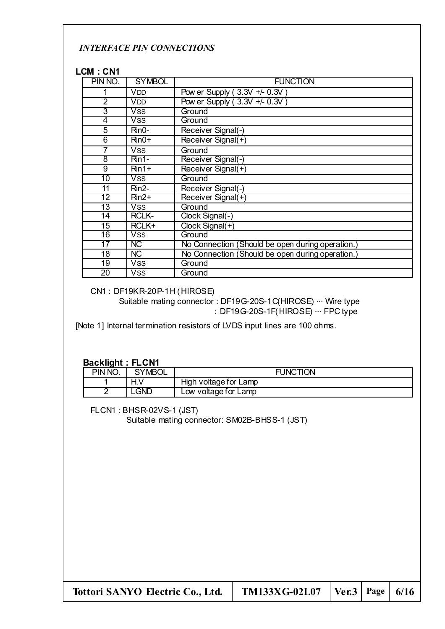### *INTERFACE PIN CONNECTIONS*

#### **LCM : CN1**

| PIN NO.         | <b>SYMBOL</b> | <b>FUNCTION</b>                                  |
|-----------------|---------------|--------------------------------------------------|
|                 | <b>VDD</b>    | Pow er Supply (3.3V +/- 0.3V                     |
| $\overline{2}$  | <b>VDD</b>    | Pow er Supply (3.3V +/- 0.3V)                    |
| 3               | <b>VSS</b>    | Ground                                           |
| 4               | <b>VSS</b>    | Ground                                           |
| 5               | Rin0-         | Receiver Signal(-)                               |
| 6               | $Rin0+$       | Receiver Signal(+)                               |
| 7               | <b>VSS</b>    | Ground                                           |
| 8               | Rin1-         | Receiver Signal(-)                               |
| $\overline{9}$  | $Rin1+$       | Receiver Signal(+)                               |
| $\overline{10}$ | <b>VSS</b>    | Ground                                           |
| 11              | $Rin2-$       | Receiver Signal(-)                               |
| 12 <sub>2</sub> | $Rin2+$       | Receiver Signal(+)                               |
| $\overline{13}$ | <b>VSS</b>    | Ground                                           |
| 14              | <b>RCLK-</b>  | Clock Signal(-)                                  |
| 15              | RCLK+         | Clock Signal(+)                                  |
| 16              | <b>VSS</b>    | Ground                                           |
| 17              | <b>NC</b>     | No Connection (Should be open during operation.) |
| 18              | <b>NC</b>     | No Connection (Should be open during operation.) |
| 19              | <b>VSS</b>    | Ground                                           |
| 20              | <b>VSS</b>    | Ground                                           |

CN1 : DF19KR-20P-1H (HIROSE)

Suitable mating connector : DF19G-20S-1C(HIROSE)  $\cdots$  Wire type : DF19G-20S-1F(HIROSE) ··· FPC type

[Note 1] Internal termination resistors of LVDS input lines are 100 ohms.

#### **Backlight : FLCN1**

| PIN NO. | SYMBOL | <b>FUNCTION</b>       |
|---------|--------|-----------------------|
|         |        | High voltage for Lamp |
|         | GND    | ∟ow voltage for Lamp  |

FLCN1 : BHSR-02VS-1 (JST)

Suitable mating connector: SM02B-BHSS-1 (JST)

| Tottori SANYO Electric Co., Ltd. | <b>TM133XG-02L07</b>   Ver.3   Page   $6/16$ |  |  |
|----------------------------------|----------------------------------------------|--|--|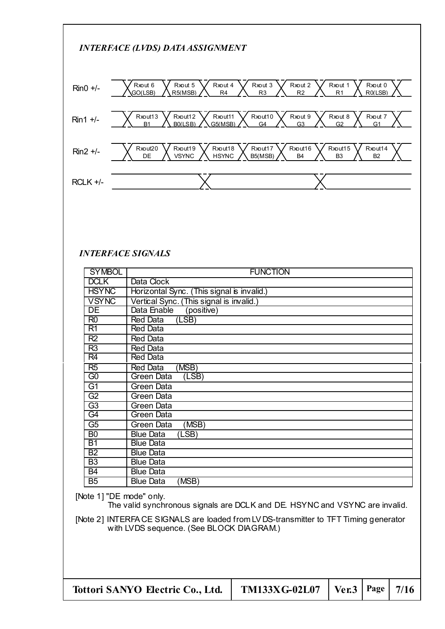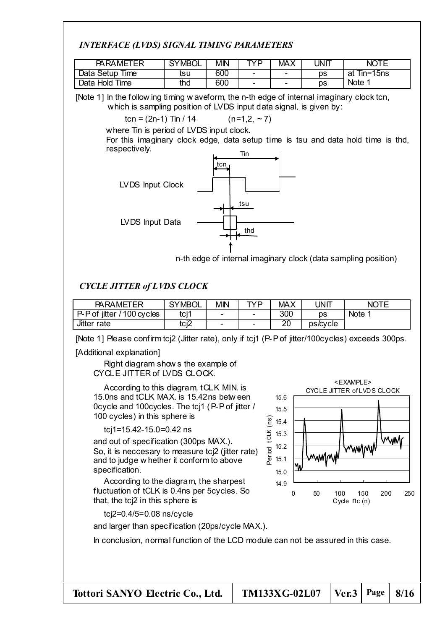## *INTERFACE (LVDS) SIGNAL TIMING PARAMETERS*

| <b>PARAMETER</b>                | <b>SYMBOL</b> | <b>MIN</b> | TVD                      | <b>MAX</b>               | JNΠ | <b>NC</b>      |
|---------------------------------|---------------|------------|--------------------------|--------------------------|-----|----------------|
| Time<br>Data Setup <sup>-</sup> | tsu           | 600        | $\overline{\phantom{0}}$ | $\overline{\phantom{0}}$ | рs  | Tin=15ns<br>at |
| Data Hold Time                  | thd           | 600        | $\overline{\phantom{0}}$ | $\overline{\phantom{0}}$ | ĎS  | <b>Note</b>    |

[Note 1] In the follow ing timing w aveform, the n-th edge of internal imaginary clock tcn, which is sampling position of LVDS input data signal, is given by:

$$
tcn = (2n-1) \text{ Tin} / 14 \qquad (n=1,2, \sim 7)
$$

where Tin is period of LVDS input clock.

For this imaginary clock edge, data setup time is tsu and data hold time is thd, respectively.



n-th edge of internal imaginary clock (data sampling position)

## *CYCLE JITTER of LVDS CLOCK*

| <b>PARAMETER</b>            | <b>SYMBOL</b>       | МM                       | TVD | <b>MAX</b> | JNIT     | <b>NOTE</b><br>- |
|-----------------------------|---------------------|--------------------------|-----|------------|----------|------------------|
| P-P of jitter<br>100 cycles | $f \circ i'$<br>וטו | -                        | -   | 300        | ĎS       | <b>Note</b>      |
| Jitter rate                 | tci2                | $\overline{\phantom{0}}$ | -   | ററ<br>∠∪   | ps/cvcle |                  |

[Note 1] Please confirm tcj2 (Jitter rate), only if tcj1 (P-P of jitter/100cycles) exceeds 300ps.

[Additional explanation]

Right diagram show s the example of CYCLE JITTER of LVDS CLOCK.

According to this diagram, tCLK MIN. is 15.0ns and tCLK MAX. is 15.42ns betw een 0cycle and 100cycles. The tcj1 (P-P of jitter / 100 cycles) in this sphere is

### tcj1=15.42-15.0=0.42 ns

and out of specification (300ps MAX.). So, it is neccesary to measure tcj2 (jitter rate) and to judge w hether it conform to above specification.

According to the diagram, the sharpest fluctuation of tCLK is 0.4ns per 5cycles. So that, the tcj2 in this sphere is

tcj2=0.4/5=0.08 ns/cycle

and larger than specification (20ps/cycle MAX.).

In conclusion, normal function of the LCD module can not be assured in this case.



**Tottori SANYO Electric Co., Ltd. TM133XG-02L07 Ver.3 Page 8/16**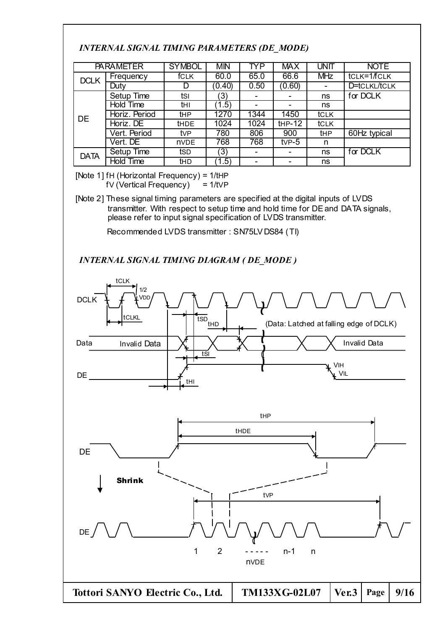## *INTERNAL SIGNAL TIMING PARAMETERS (DE\_MODE)*

|             | <b>PARAMETER</b> | <b>SYMBOL</b> | <b>MIN</b> | TYP  | <b>MAX</b> | <b>UNIT</b> | <b>NOTE</b>  |
|-------------|------------------|---------------|------------|------|------------|-------------|--------------|
| <b>DCLK</b> | Frequency        | <b>fCLK</b>   | 60.0       | 65.0 | 66.6       | <b>MHz</b>  | tclk=1/fclk  |
|             | Duty             |               | (0.40)     | 0.50 | (0.60)     | -           | D=tCLKL/tCLK |
|             | Setup Time       | tsı           | 3)         |      |            | ns          | for DCLK     |
|             | Hold Time        | thi           | 1.5)       |      |            | ns          |              |
| <b>DE</b>   | Horiz. Period    | tHP           | 1270       | 1344 | 1450       | tclk        |              |
|             | Horiz. DE        | <b>tHDE</b>   | 1024       | 1024 | $HP-12$    | tCLK        |              |
|             | Vert. Period     | tvP           | 780        | 806  | 900        | tHP         | 60Hz typical |
|             | Vert. DE         | <b>nVDE</b>   | 768        | 768  | $tVP-5$    | n           |              |
| <b>DATA</b> | Setup Time       | tsd           | (3)        |      | -          | ns          | for DCLK     |
|             | <b>Hold Time</b> | thd           | 1.5)       |      |            | ns          |              |

[Note 1] fH (Horizontal Frequency) = 1/tHP  $fV$  (Vertical Frequency)  $= 1/tVP$ 

[Note 2] These signal timing parameters are specified at the digital inputs of LVDS transmitter. With respect to setup time and hold time for DE and DATA signals, please refer to input signal specification of LVDS transmitter.

Recommended LVDS transmitter : SN75LV DS84 (TI)

*INTERNAL SIGNAL TIMING DIAGRAM ( DE\_MODE )*

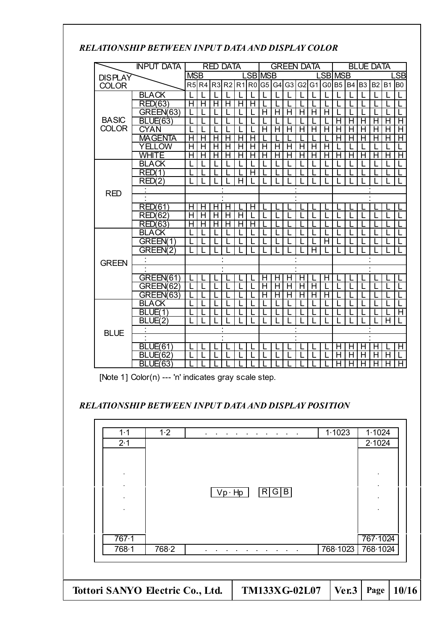| <i>ыш</i> ні VI   | ,,,,,,<br><u>DLIN LEN INI UI DARIAND DISI LAI COLOR</u> |                |                 |   |                   |         |            |   |   |         |    |                  |                           |       |           |                |    |           |           |
|-------------------|---------------------------------------------------------|----------------|-----------------|---|-------------------|---------|------------|---|---|---------|----|------------------|---------------------------|-------|-----------|----------------|----|-----------|-----------|
| <b>INPUT DATA</b> |                                                         |                | <b>RED DATA</b> |   |                   |         | GREEN DATA |   |   |         |    | <b>BLUE DATA</b> |                           |       |           |                |    |           |           |
| <b>DISPLAY</b>    |                                                         | <b>MSB</b>     |                 |   |                   | .SB MSB |            |   |   | .SB MSB |    |                  | $\overline{\mathsf{S}}$ B |       |           |                |    |           |           |
| <b>COLOR</b>      |                                                         | R <sub>5</sub> | R <sub>4</sub>  |   | R3 R2 R1 R0 G5 G4 |         |            |   |   | G3      | G2 | G <sub>1</sub>   |                           | G0 B5 | <b>B4</b> | B <sub>3</sub> | B2 | <b>B1</b> | <b>BO</b> |
|                   | <b>BLACK</b>                                            |                |                 |   |                   |         |            |   |   |         |    |                  |                           |       |           |                |    |           |           |
|                   | <b>RED(63)</b>                                          | н              |                 | H |                   | H       |            |   |   |         |    |                  |                           |       |           |                |    |           |           |
|                   | GREEN(63)                                               |                |                 |   |                   |         |            |   |   | H       |    | н                |                           |       |           |                |    |           |           |
| <b>BASIC</b>      | <b>BLUE(63)</b>                                         |                |                 |   |                   |         |            |   |   |         |    |                  |                           |       |           |                |    | H         | Н         |
| <b>COLOR</b>      | <b>CYAN</b>                                             |                |                 |   |                   |         |            | Н | Н | н       | н  | Н                | н                         | н     | н         |                | н  | Н         | Н         |
|                   | MAGENTA                                                 |                |                 | ⊢ |                   |         |            |   |   |         |    |                  |                           |       |           |                |    | н         | н         |
|                   | YELLOW                                                  | Н              |                 | н |                   | н       |            |   |   |         | H  | н                |                           |       |           |                |    |           |           |
|                   | WHITE                                                   |                |                 |   |                   |         |            |   |   |         |    |                  |                           |       |           |                |    |           | н         |
|                   | <b>BLACK</b>                                            |                |                 |   |                   |         |            |   |   |         |    |                  |                           |       |           |                |    |           |           |
|                   | RED(1                                                   |                |                 |   |                   |         |            |   |   |         |    |                  |                           |       |           |                |    |           |           |
|                   | RED(2)                                                  |                |                 |   |                   | н       |            |   |   |         |    |                  |                           |       |           |                |    |           |           |
| <b>RED</b>        |                                                         |                |                 |   |                   |         |            |   |   |         |    |                  |                           |       |           |                |    |           |           |
|                   |                                                         |                |                 |   |                   |         |            |   |   |         |    |                  |                           |       |           |                |    |           |           |
|                   | RED(61)                                                 |                |                 |   |                   |         |            |   |   |         |    |                  |                           |       |           |                |    |           |           |
|                   | 62<br>RED(                                              | H              |                 | Н |                   | Н       |            |   |   |         |    |                  |                           |       |           |                |    |           |           |
|                   | RED(63)                                                 |                |                 |   |                   |         |            |   |   |         |    |                  |                           |       |           |                |    |           |           |
|                   | <b>BLACK</b>                                            |                |                 |   |                   |         |            |   |   |         |    |                  |                           |       |           |                |    |           |           |

BLACK L L L L L L L L L L L L L L L L L L

GREEN(63) LLLLLL H H H H H H LLLLLL BLACK L L L L L L L L L L L L L L L L L L  $BLUE(1)$   $|L|L|L|L|L|L|L|L|L|L|L|L|L|L|L|L|H$  $BLUE(2)$   $|L|L|L|L|L|L|L|L|L|L|L|L|L|L|L|L|H$ : ::: : :::

BLUE(61) L L L L L L L L L L L L H H H H L H BLUE(62) L L L L L L L L L L L L H H H H H L

BLUE(63) LLLLLLLLLLLLLLLLLLLHHHHHHH

GREEN(1) L L L L L L L L L L L H LLLLLL GREEN(2) L L L L L L L L L L L L L H L L

: ::: : ::: GREEN(61) LLLLLL H H H H L H LLLLLL GREEN(62) LLLLLLLLHH H H H H LLLLL<br>GREEN(63) LLLLLLLLLHH H H H H LLLLL

## *RELATIONSHIP BETWEEN INPUT DATA AND DISPLAY COLOR*

[Note 1] Color(n) --- 'n' indicates gray scale step.

**GREEN** 

**BLUE** 

### *RELATIONSHIP BETWEEN INPUT DATA AND DISPLAY POSITION*

| 1.1   | 1.2                              |               |               | 1.1023   | 1.1024   |       |
|-------|----------------------------------|---------------|---------------|----------|----------|-------|
| 2.1   |                                  |               |               |          | 2.1024   |       |
|       |                                  |               |               |          |          |       |
|       |                                  |               |               |          |          |       |
|       |                                  |               |               |          |          |       |
|       |                                  | $Vp \cdot Hp$ | R G B         |          |          |       |
|       |                                  |               |               |          |          |       |
|       |                                  |               |               |          |          |       |
|       |                                  |               |               |          |          |       |
| 767.1 |                                  |               |               |          | 767.1024 |       |
| 768.1 | 768.2                            |               |               | 768.1023 | 768-1024 |       |
|       |                                  |               |               |          |          |       |
|       |                                  |               |               |          |          |       |
|       | Tottori SANYO Electric Co., Ltd. |               | TM133XG-02L07 | Ver.3    | Page     | 10/16 |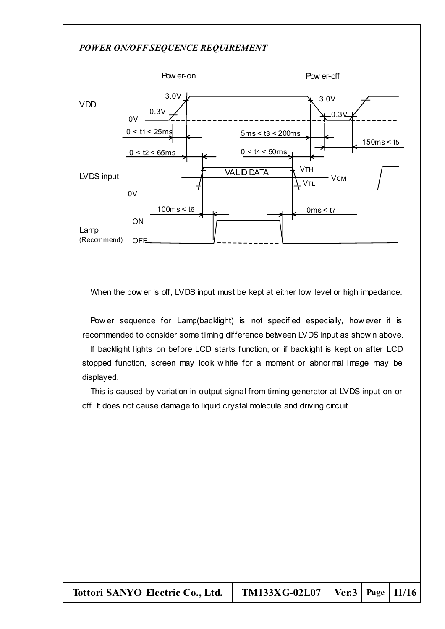#### *POWER ON/OFF SEQUENCE REQUIREMENT*



When the pow er is off, LVDS input must be kept at either low level or high impedance.

Pow er sequence for Lamp(backlight) is not specified especially, how ever it is recommended to consider some timing difference between LVDS input as show n above.

If backlight lights on before LCD starts function, or if backlight is kept on after LCD stopped function, screen may look w hite for a moment or abnormal image may be displayed.

This is caused by variation in output signal from timing generator at LVDS input on or off. It does not cause damage to liquid crystal molecule and driving circuit.

| Tottori SANYO Electric Co., Ltd.   TM133XG-02L07   Ver.3   Page   11/16 |  |  |
|-------------------------------------------------------------------------|--|--|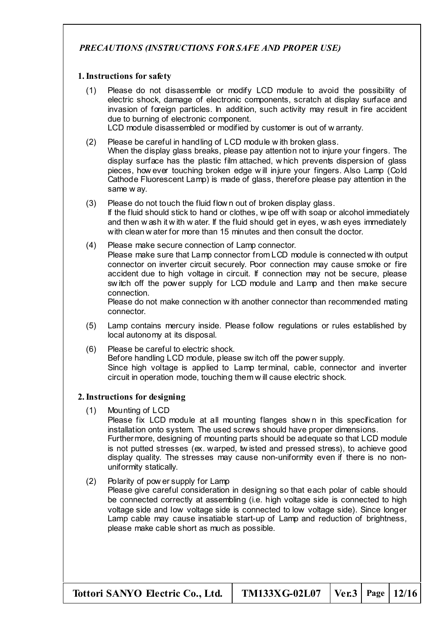## *PRECAUTIONS (INSTRUCTIONS FOR SAFE AND PROPER USE)*

#### **1.Instructions for safety**

- (1) Please do not disassemble or modify LCD module to avoid the possibility of electric shock, damage of electronic components, scratch at display surface and invasion of foreign particles. In addition, such activity may result in fire accident due to burning of electronic component.
	- LCD module disassembled or modified by customer is out of w arranty.
- (2) Please be careful in handling of LCD module w ith broken glass. When the display glass breaks, please pay attention not to injure your fingers. The display surface has the plastic film attached, w hich prevents dispersion of glass pieces, how ever touching broken edge w ill injure your fingers. Also Lamp (Cold Cathode Fluorescent Lamp) is made of glass, therefore please pay attention in the same w ay.
- (3) Please do not touch the fluid flow n out of broken display glass.

If the fluid should stick to hand or clothes, w ipe off with soap or alcohol immediately and then w ash it w ith w ater. If the fluid should get in eyes, w ash eyes immediately with clean w ater for more than 15 minutes and then consult the doctor.

(4) Please make secure connection of Lamp connector. Please make sure that Lamp connector from LCD module is connected w ith output connector on inverter circuit securely. Poor connection may cause smoke or fire accident due to high voltage in circuit. If connection may not be secure, please sw itch off the power supply for LCD module and Lamp and then make secure connection.

Please do not make connection w ith another connector than recommended mating connector.

- (5) Lamp contains mercury inside. Please follow regulations or rules established by local autonomy at its disposal.
- (6) Please be careful to electric shock. Before handling LCD module, please sw itch off the power supply. Since high voltage is applied to Lamp terminal, cable, connector and inverter circuit in operation mode, touching them w ill cause electric shock.

### **2.Instructions for designing**

(1) Mounting of LCD

Please fix LCD module at all mounting flanges shown in this specification for installation onto system. The used screws should have proper dimensions. Furthermore, designing of mounting parts should be adequate so that LCD module is not putted stresses (ex. warped, tw isted and pressed stress), to achieve good display quality. The stresses may cause non-uniformity even if there is no nonuniformity statically.

### (2) Polarity of pow er supply for Lamp

Please give careful consideration in designing so that each polar of cable should be connected correctly at assembling (i.e. high voltage side is connected to high voltage side and low voltage side is connected to low voltage side). Since longer Lamp cable may cause insatiable start-up of Lamp and reduction of brightness, please make cable short as much as possible.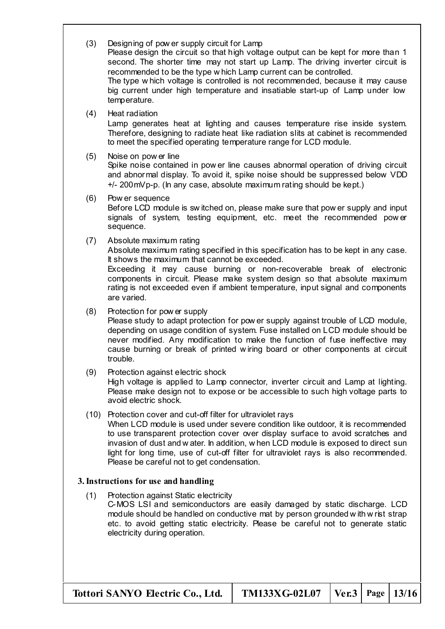| (3) | Designing of pow er supply circuit for Lamp<br>Please design the circuit so that high voltage output can be kept for more than 1<br>second. The shorter time may not start up Lamp. The driving inverter circuit is<br>recommended to be the type w hich Lamp current can be controlled.<br>The type w hich voltage is controlled is not recommended, because it may cause<br>big current under high temperature and insatiable start-up of Lamp under low<br>temperature. |
|-----|----------------------------------------------------------------------------------------------------------------------------------------------------------------------------------------------------------------------------------------------------------------------------------------------------------------------------------------------------------------------------------------------------------------------------------------------------------------------------|
| (4) | Heat radiation<br>Lamp generates heat at lighting and causes temperature rise inside system.<br>Therefore, designing to radiate heat like radiation slits at cabinet is recommended<br>to meet the specified operating temperature range for LCD module.                                                                                                                                                                                                                   |
| (5) | Noise on pow er line<br>Spike noise contained in power line causes abnormal operation of driving circuit<br>and abnormal display. To avoid it, spike noise should be suppressed below VDD<br>+/- 200 mV p-p. (In any case, absolute maximum rating should be kept.)                                                                                                                                                                                                        |
| (6) | Pow er sequence<br>Before LCD module is switched on, please make sure that pow er supply and input<br>signals of system, testing equipment, etc. meet the recommended power<br>sequence.                                                                                                                                                                                                                                                                                   |
| (7) | Absolute maximum rating<br>Absolute maximum rating specified in this specification has to be kept in any case.<br>It shows the maximum that cannot be exceeded.<br>Exceeding it may cause burning or non-recoverable break of electronic<br>components in circuit. Please make system design so that absolute maximum<br>rating is not exceeded even if ambient temperature, input signal and components<br>are varied.                                                    |
| (8) | Protection for pow er supply<br>Please study to adapt protection for pow er supply against trouble of LCD module,                                                                                                                                                                                                                                                                                                                                                          |

depending on usage condition of system. Fuse installed on LCD module should be never modified. Any modification to make the function of fuse ineffective may cause burning or break of printed w iring board or other components at circuit trouble.

## (9) Protection against electric shock

High voltage is applied to Lamp connector, inverter circuit and Lamp at lighting. Please make design not to expose or be accessible to such high voltage parts to avoid electric shock.

## (10) Protection cover and cut-off filter for ultraviolet rays

When LCD module is used under severe condition like outdoor, it is recommended to use transparent protection cover over display surface to avoid scratches and invasion of dust and w ater. In addition, w hen LCD module is exposed to direct sun light for long time, use of cut-off filter for ultraviolet rays is also recommended. Please be careful not to get condensation.

## **3.Instructions for use and handling**

(1) Protection against Static electricity C-MOS LSI and semiconductors are easily damaged by static discharge. LCD module should be handled on conductive mat by person grounded w ith w rist strap etc. to avoid getting static electricity. Please be careful not to generate static electricity during operation.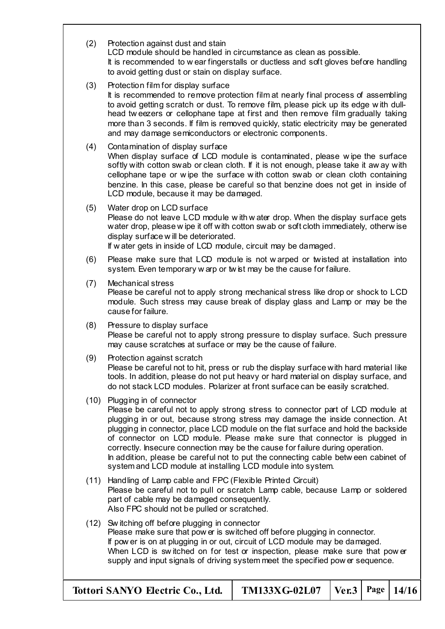| (2)  | Protection against dust and stain<br>LCD module should be handled in circumstance as clean as possible.<br>It is recommended to wear fingerstalls or ductless and soft gloves before handling<br>to avoid getting dust or stain on display surface.                                                                                                                                                                                                                                                                                                                                                  |
|------|------------------------------------------------------------------------------------------------------------------------------------------------------------------------------------------------------------------------------------------------------------------------------------------------------------------------------------------------------------------------------------------------------------------------------------------------------------------------------------------------------------------------------------------------------------------------------------------------------|
| (3)  | Protection film for display surface<br>It is recommended to remove protection film at nearly final process of assembling<br>to avoid getting scratch or dust. To remove film, please pick up its edge with dull-<br>head tweezers or cellophane tape at first and then remove film gradually taking<br>more than 3 seconds. If film is removed quickly, static electricity may be generated<br>and may damage semiconductors or electronic components.                                                                                                                                               |
| (4)  | Contamination of display surface<br>When display surface of LCD module is contaminated, please wipe the surface<br>softly with cotton swab or clean cloth. If it is not enough, please take it away with<br>cellophane tape or wipe the surface with cotton swab or clean cloth containing<br>benzine. In this case, please be careful so that benzine does not get in inside of<br>LCD module, because it may be damaged.                                                                                                                                                                           |
| (5)  | Water drop on LCD surface<br>Please do not leave LCD module with water drop. When the display surface gets<br>water drop, please wipe it off with cotton swab or soft cloth immediately, otherwise<br>display surface will be deteriorated.<br>If w ater gets in inside of LCD module, circuit may be damaged.                                                                                                                                                                                                                                                                                       |
| (6)  | Please make sure that LCD module is not warped or twisted at installation into<br>system. Even temporary w arp or twist may be the cause for failure.                                                                                                                                                                                                                                                                                                                                                                                                                                                |
| (7)  | Mechanical stress<br>Please be careful not to apply strong mechanical stress like drop or shock to LCD<br>module. Such stress may cause break of display glass and Lamp or may be the<br>cause for failure.                                                                                                                                                                                                                                                                                                                                                                                          |
| (8)  | Pressure to display surface<br>Please be careful not to apply strong pressure to display surface. Such pressure<br>may cause scratches at surface or may be the cause of failure.                                                                                                                                                                                                                                                                                                                                                                                                                    |
| (9)  | Protection against scratch<br>Please be careful not to hit, press or rub the display surface with hard material like<br>tools. In addition, please do not put heavy or hard material on display surface, and<br>do not stack LCD modules. Polarizer at front surface can be easily scratched.                                                                                                                                                                                                                                                                                                        |
| (10) | Plugging in of connector<br>Please be careful not to apply strong stress to connector part of LCD module at<br>plugging in or out, because strong stress may damage the inside connection. At<br>plugging in connector, place LCD module on the flat surface and hold the backside<br>of connector on LCD module. Please make sure that connector is plugged in<br>correctly. Insecure connection may be the cause for failure during operation.<br>In addition, please be careful not to put the connecting cable between cabinet of<br>system and LCD module at installing LCD module into system. |
| (11) | Handling of Lamp cable and FPC (Flexible Printed Circuit)<br>Please be careful not to pull or scratch Lamp cable, because Lamp or soldered<br>part of cable may be damaged consequently.<br>Also FPC should not be pulled or scratched.                                                                                                                                                                                                                                                                                                                                                              |
|      | (12) Switching off before plugging in connector<br>Please make sure that pow er is switched off before plugging in connector.<br>If pow er is on at plugging in or out, circuit of LCD module may be damaged.<br>When LCD is switched on for test or inspection, please make sure that power<br>supply and input signals of driving system meet the specified pow er sequence.                                                                                                                                                                                                                       |

**Tottori SANYO Electric Co., Ltd. TM133XG-02L07 Ver.3 Page 14/16**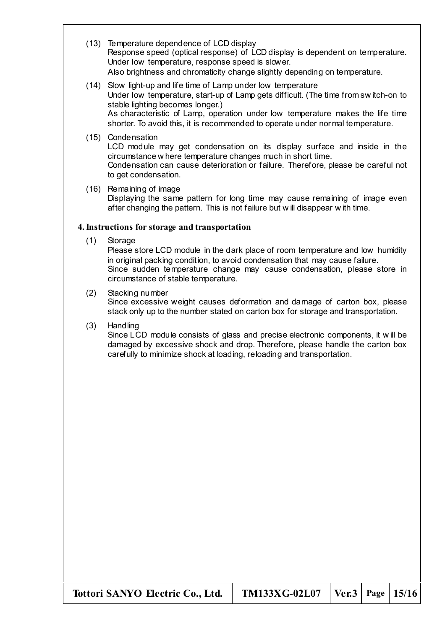- (13) Temperature dependence of LCD display Response speed (optical response) of LCD display is dependent on temperature. Under low temperature, response speed is slower. Also brightness and chromaticity change slightly depending on temperature.
- (14) Slow light-up and life time of Lamp under low temperature Under low temperature, start-up of Lamp gets difficult. (The time from sw itch-on to stable lighting becomes longer.) As characteristic of Lamp, operation under low temperature makes the life time shorter. To avoid this, it is recommended to operate under normal temperature.
- (15) Condensation

LCD module may get condensation on its display surface and inside in the circumstance w here temperature changes much in short time. Condensation can cause deterioration or failure. Therefore, please be careful not

- to get condensation.
- (16) Remaining of image Displaying the same pattern for long time may cause remaining of image even after changing the pattern. This is not failure but w ill disappear w ith time.

### **4.Instructions for storage and transportation**

(1) Storage

Please store LCD module in the dark place of room temperature and low humidity in original packing condition, to avoid condensation that may cause failure. Since sudden temperature change may cause condensation, please store in circumstance of stable temperature.

- (2) Stacking number Since excessive weight causes deformation and damage of carton box, please stack only up to the number stated on carton box for storage and transportation.
- (3) Handling

Since LCD module consists of glass and precise electronic components, it w ill be damaged by excessive shock and drop. Therefore, please handle the carton box carefully to minimize shock at loading, reloading and transportation.